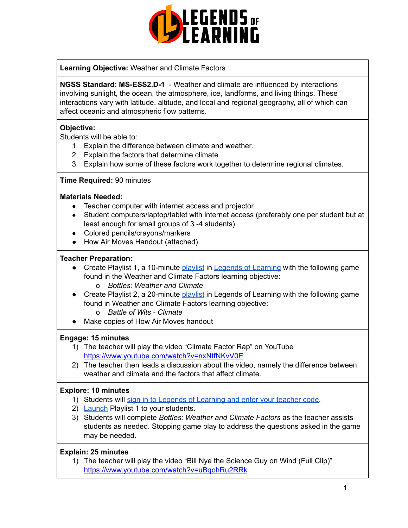

**Learning Objective:** Weather and Climate Factors

**NGSS Standard: MS-ESS2.D-1** - Weather and climate are influenced by interactions involving sunlight, the ocean, the atmosphere, ice, landforms, and living things. These interactions vary with latitude, altitude, and local and regional geography, all of which can affect oceanic and atmospheric flow patterns.

#### **Objective:**

Students will be able to:

- 1. Explain the difference between climate and weather.
- 2. Explain the factors that determine climate.
- 3. Explain how some of these factors work together to determine regional climates.

#### **Time Required:** 90 minutes

#### **Materials Needed:**

- Teacher computer with internet access and projector
- Student computers/laptop/tablet with internet access (preferably one per student but at least enough for small groups of 3-4 students)
- Colored pencils/crayons/markers
- How Air Moves Handout (attached)

#### **Teacher Preparation:**

- Create Playlist 1, a 10-minute [playlist](https://lol.desk.com/customer/en/portal/articles/2822815-creating-multiple-playlists) in Legends of [Learning](https://teachers.legendsoflearning.com/sign-in) with the following game found in the Weather and Climate Factors learning objective: o *Bottles: Weather and Climate*
- Create Playlist 2, a 20-minute [playlist](https://lol.desk.com/customer/en/portal/articles/2822815-creating-multiple-playlists) in Legends of Learning with the following game found in Weather and Climate Factors learning objective:
	- o *Battle of Wits Climate*
- Make copies of How Air Moves handout

## **Engage: 15 minutes**

- 1) The teacher will play the video "Climate Factor Rap" on YouTube <https://www.youtube.com/watch?v=nxNtfNKvV0E>
- 2) The teacher then leads a discussion about the video, namely the difference between weather and climate and the factors that affect climate.

#### **Explore: 10 minutes**

- 1) Students will sign in to Legends of [Learning](https://lol.desk.com/customer/en/portal/articles/2809984-students-joining-a-playlist) and enter your teacher code.
- 2) [Launch](https://lol.desk.com/customer/en/portal/articles/2822815-creating-multiple-playlists) Playlist 1 to your students.
- 3) Students will complete *Bottles: Weather and Climate Factors* as the teacher assists students as needed. Stopping game play to address the questions asked in the game may be needed.

#### **Explain: 25 minutes**

1) The teacher will play the video "Bill Nye the Science Guy on Wind (Full Clip)" <https://www.youtube.com/watch?v=uBqohRu2RRk>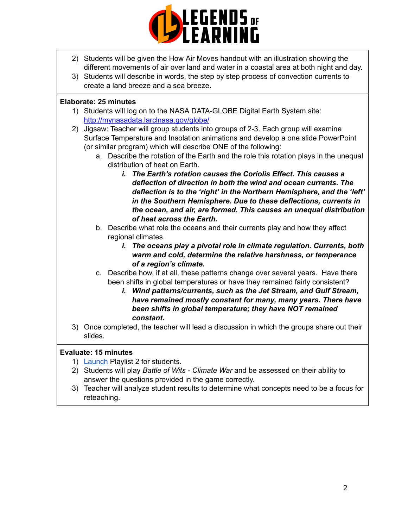

- 2) Students will be given the How Air Moves handout with an illustration showing the different movements of air over land and water in a coastal area at both night and day.
- 3) Students will describe in words, the step by step process of convection currents to create a land breeze and a sea breeze.

### **Elaborate: 25 minutes**

- 1) Students will log on to the NASA DATA-GLOBE Digital Earth System site: [http://mynasadata.larclnasa.gov/globe/](https://mynasadata.larc.nasa.gov/globe/)
- 2) Jigsaw: Teacher will group students into groups of 2-3. Each group will examine Surface Temperature and Insolation animations and develop a one slide PowerPoint (or similar program) which will describe ONE of the following:
	- a. Describe the rotation of the Earth and the role this rotation plays in the unequal distribution of heat on Earth.
		- *i. The Earth's rotation causes the Coriolis Effect. This causes a deflection of direction in both the wind and ocean currents. The deflection is to the 'right' in the Northern Hemisphere, and the 'left' in the Southern Hemisphere. Due to these deflections, currents in the ocean, and air, are formed. This causes an unequal distribution of heat across the Earth.*
	- b. Describe what role the oceans and their currents play and how they affect regional climates.
		- *i. The oceans play a pivotal role in climate regulation. Currents, both warm and cold, determine the relative harshness, or temperance of a region's climate.*
	- c. Describe how, if at all, these patterns change over several years. Have there been shifts in global temperatures or have they remained fairly consistent?
		- *i. Wind patterns/currents, such as the Jet Stream, and Gulf Stream, have remained mostly constant for many, many years. There have been shifts in global temperature; they have NOT remained constant.*
- 3) Once completed, the teacher will lead a discussion in which the groups share out their slides.

## **Evaluate: 15 minutes**

- 1) [Launch](https://lol.desk.com/customer/en/portal/articles/2822815-creating-multiple-playlists) Playlist 2 for students.
- 2) Students will play *Battle of Wits Climate War* and be assessed on their ability to answer the questions provided in the game correctly.
- 3) Teacher will analyze student results to determine what concepts need to be a focus for reteaching.